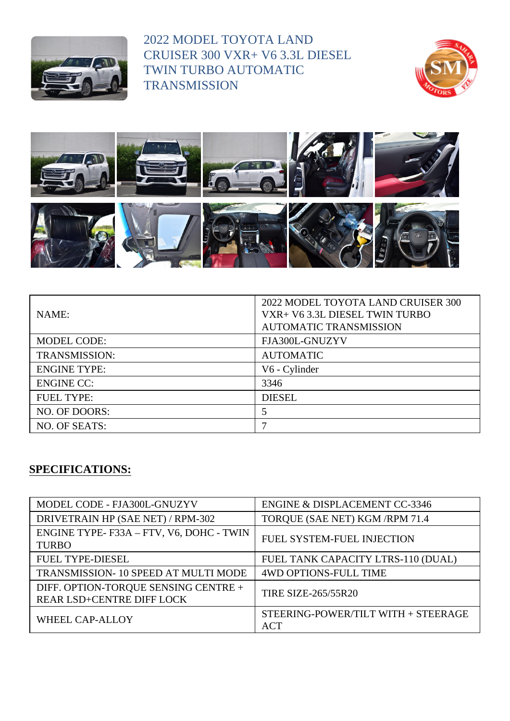

2022 MODEL TOYOTA LAND CRUISER 300 VXR+ V6 3.3L DIESEL TWIN TURBO AUTOMATIC **TRANSMISSION** 





| NAME:                | 2022 MODEL TOYOTA LAND CRUISER 300<br>VXR+ V6 3.3L DIESEL TWIN TURBO<br><b>AUTOMATIC TRANSMISSION</b> |
|----------------------|-------------------------------------------------------------------------------------------------------|
| <b>MODEL CODE:</b>   | FJA300L-GNUZYV                                                                                        |
| <b>TRANSMISSION:</b> | <b>AUTOMATIC</b>                                                                                      |
| <b>ENGINE TYPE:</b>  | V6 - Cylinder                                                                                         |
| <b>ENGINE CC:</b>    | 3346                                                                                                  |
| <b>FUEL TYPE:</b>    | <b>DIESEL</b>                                                                                         |
| NO. OF DOORS:        | 5                                                                                                     |
| NO. OF SEATS:        |                                                                                                       |

## **SPECIFICATIONS:**

| MODEL CODE - FJA300L-GNUZYV                                       | <b>ENGINE &amp; DISPLACEMENT CC-3346</b>          |
|-------------------------------------------------------------------|---------------------------------------------------|
| DRIVETRAIN HP (SAE NET) / RPM-302                                 | TORQUE (SAE NET) KGM /RPM 71.4                    |
| ENGINE TYPE-F33A - FTV, V6, DOHC - TWIN<br><b>TURBO</b>           | FUEL SYSTEM-FUEL INJECTION                        |
| FUEL TYPE-DIESEL                                                  | FUEL TANK CAPACITY LTRS-110 (DUAL)                |
| TRANSMISSION-10 SPEED AT MULTI MODE                               | <b>4WD OPTIONS-FULL TIME</b>                      |
| DIFF. OPTION-TORQUE SENSING CENTRE +<br>REAR LSD+CENTRE DIFF LOCK | <b>TIRE SIZE-265/55R20</b>                        |
| WHEEL CAP-ALLOY                                                   | STEERING-POWER/TILT WITH + STEERAGE<br><b>ACT</b> |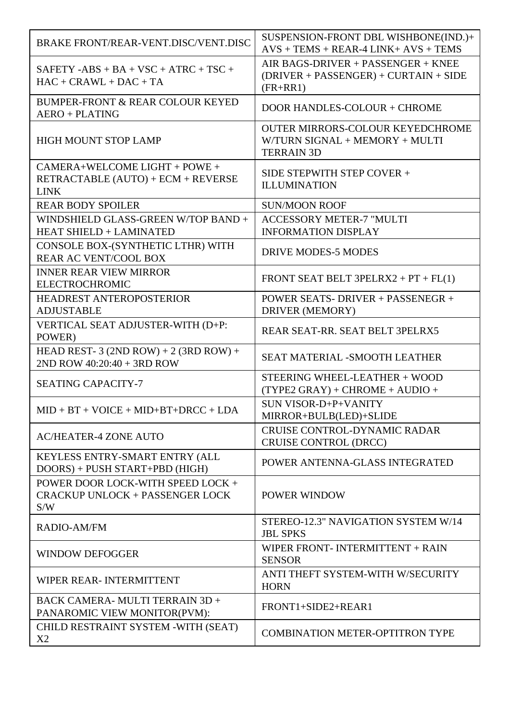| BRAKE FRONT/REAR-VENT.DISC/VENT.DISC                                               | SUSPENSION-FRONT DBL WISHBONE(IND.)+<br>$AVS + TEMS + REAR-4 LINK + AVS + TEMS$                |
|------------------------------------------------------------------------------------|------------------------------------------------------------------------------------------------|
| $SAFETY - ABS + BA + VSC + ATRC + TSC +$<br>$HAC + CRAWL + DAC + TA$               | AIR BAGS-DRIVER + PASSENGER + KNEE<br>$(DRIVER + PASSENGER) + CURTAIN + SIDE$<br>$(FR+RR1)$    |
| BUMPER-FRONT & REAR COLOUR KEYED<br><b>AERO + PLATING</b>                          | DOOR HANDLES-COLOUR + CHROME                                                                   |
| <b>HIGH MOUNT STOP LAMP</b>                                                        | <b>OUTER MIRRORS-COLOUR KEYEDCHROME</b><br>W/TURN SIGNAL + MEMORY + MULTI<br><b>TERRAIN 3D</b> |
| $CAMERA+WELCOMPLIGHT+POWE+$<br>RETRACTABLE (AUTO) + ECM + REVERSE<br><b>LINK</b>   | SIDE STEPWITH STEP COVER +<br><b>ILLUMINATION</b>                                              |
| <b>REAR BODY SPOILER</b>                                                           | <b>SUN/MOON ROOF</b>                                                                           |
| WINDSHIELD GLASS-GREEN W/TOP BAND +<br><b>HEAT SHIELD + LAMINATED</b>              | <b>ACCESSORY METER-7 "MULTI</b><br><b>INFORMATION DISPLAY</b>                                  |
| CONSOLE BOX-(SYNTHETIC LTHR) WITH<br>REAR AC VENT/COOL BOX                         | <b>DRIVE MODES-5 MODES</b>                                                                     |
| <b>INNER REAR VIEW MIRROR</b><br><b>ELECTROCHROMIC</b>                             | FRONT SEAT BELT 3PELRX2 + $PT$ + $FL(1)$                                                       |
| HEADREST ANTEROPOSTERIOR<br><b>ADJUSTABLE</b>                                      | POWER SEATS-DRIVER + PASSENEGR +<br>DRIVER (MEMORY)                                            |
| VERTICAL SEAT ADJUSTER-WITH (D+P:<br>POWER)                                        | REAR SEAT-RR. SEAT BELT 3PELRX5                                                                |
| HEAD REST- 3 (2ND ROW) + 2 (3RD ROW) +<br>$2ND$ ROW $40:20:40 + 3RD$ ROW           | <b>SEAT MATERIAL -SMOOTH LEATHER</b>                                                           |
| <b>SEATING CAPACITY-7</b>                                                          | STEERING WHEEL-LEATHER + WOOD<br>$(TYPE2 \text{ GRAY}) + CHROME + AUDIO +$                     |
| $MID + BT + VOICE + MID + BT + DRCC + LDA$                                         | SUN VISOR-D+P+VANITY<br>MIRROR+BULB(LED)+SLIDE                                                 |
| <b>AC/HEATER-4 ZONE AUTO</b>                                                       | CRUISE CONTROL-DYNAMIC RADAR<br><b>CRUISE CONTROL (DRCC)</b>                                   |
| KEYLESS ENTRY-SMART ENTRY (ALL<br>$DOORS$ ) + PUSH START+PBD (HIGH)                | POWER ANTENNA-GLASS INTEGRATED                                                                 |
| POWER DOOR LOCK-WITH SPEED LOCK +<br><b>CRACKUP UNLOCK + PASSENGER LOCK</b><br>S/W | POWER WINDOW                                                                                   |
| <b>RADIO-AM/FM</b>                                                                 | STEREO-12.3" NAVIGATION SYSTEM W/14<br><b>JBL SPKS</b>                                         |
| <b>WINDOW DEFOGGER</b>                                                             | WIPER FRONT- INTERMITTENT $+$ RAIN<br><b>SENSOR</b>                                            |
| WIPER REAR-INTERMITTENT                                                            | ANTI THEFT SYSTEM-WITH W/SECURITY<br><b>HORN</b>                                               |
| BACK CAMERA-MULTI TERRAIN 3D +<br>PANAROMIC VIEW MONITOR(PVM):                     | FRONT1+SIDE2+REAR1                                                                             |
| CHILD RESTRAINT SYSTEM -WITH (SEAT)<br>X2                                          | <b>COMBINATION METER-OPTITRON TYPE</b>                                                         |